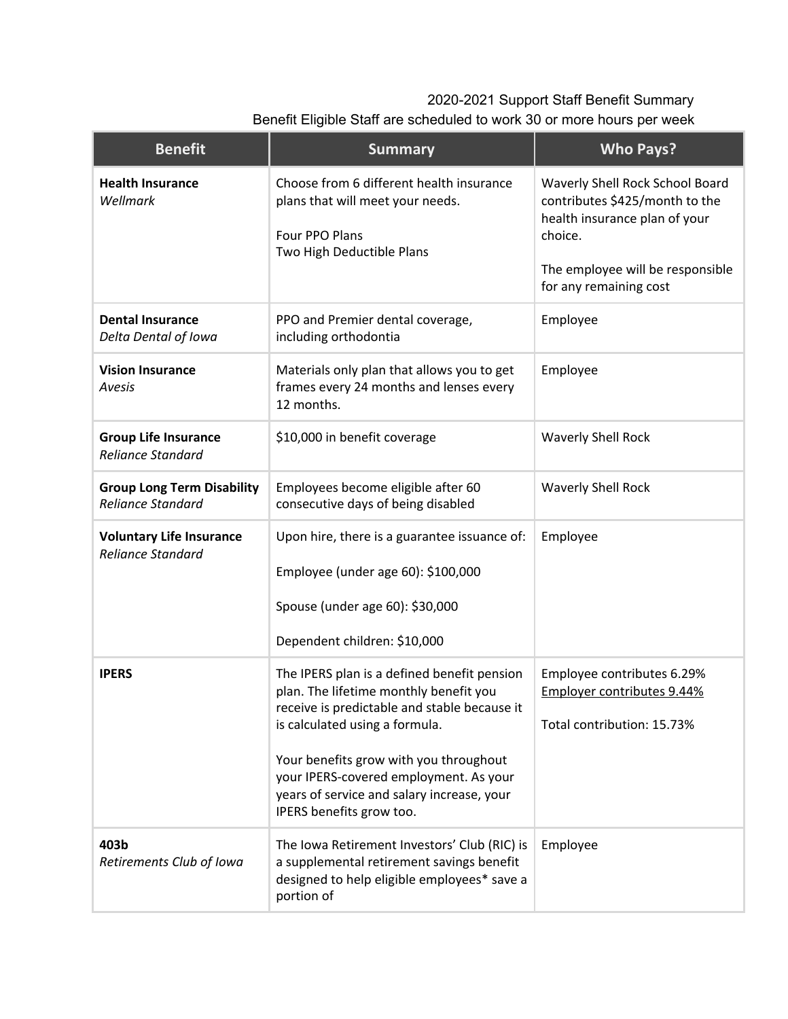## 2020-2021 Support Staff Benefit Summary

| Benefit Eligible Staff are scheduled to work 30 or more hours per week |  |  |  |
|------------------------------------------------------------------------|--|--|--|
|------------------------------------------------------------------------|--|--|--|

| <b>Benefit</b>                                                | <b>Summary</b>                                                                                                                                                                                                                                                                                                                        | <b>Who Pays?</b>                                                                                                                                                            |
|---------------------------------------------------------------|---------------------------------------------------------------------------------------------------------------------------------------------------------------------------------------------------------------------------------------------------------------------------------------------------------------------------------------|-----------------------------------------------------------------------------------------------------------------------------------------------------------------------------|
| <b>Health Insurance</b><br>Wellmark                           | Choose from 6 different health insurance<br>plans that will meet your needs.<br>Four PPO Plans<br>Two High Deductible Plans                                                                                                                                                                                                           | Waverly Shell Rock School Board<br>contributes \$425/month to the<br>health insurance plan of your<br>choice.<br>The employee will be responsible<br>for any remaining cost |
| <b>Dental Insurance</b><br>Delta Dental of Iowa               | PPO and Premier dental coverage,<br>including orthodontia                                                                                                                                                                                                                                                                             | Employee                                                                                                                                                                    |
| <b>Vision Insurance</b><br>Avesis                             | Materials only plan that allows you to get<br>frames every 24 months and lenses every<br>12 months.                                                                                                                                                                                                                                   | Employee                                                                                                                                                                    |
| <b>Group Life Insurance</b><br><b>Reliance Standard</b>       | \$10,000 in benefit coverage                                                                                                                                                                                                                                                                                                          | <b>Waverly Shell Rock</b>                                                                                                                                                   |
| <b>Group Long Term Disability</b><br><b>Reliance Standard</b> | Employees become eligible after 60<br>consecutive days of being disabled                                                                                                                                                                                                                                                              | <b>Waverly Shell Rock</b>                                                                                                                                                   |
| <b>Voluntary Life Insurance</b><br><b>Reliance Standard</b>   | Upon hire, there is a guarantee issuance of:<br>Employee (under age 60): \$100,000<br>Spouse (under age 60): \$30,000<br>Dependent children: \$10,000                                                                                                                                                                                 | Employee                                                                                                                                                                    |
| <b>IPERS</b>                                                  | The IPERS plan is a defined benefit pension<br>plan. The lifetime monthly benefit you<br>receive is predictable and stable because it<br>is calculated using a formula.<br>Your benefits grow with you throughout<br>your IPERS-covered employment. As your<br>years of service and salary increase, your<br>IPERS benefits grow too. | Employee contributes 6.29%<br>Employer contributes 9.44%<br>Total contribution: 15.73%                                                                                      |
| 403b<br>Retirements Club of Iowa                              | The Iowa Retirement Investors' Club (RIC) is<br>a supplemental retirement savings benefit<br>designed to help eligible employees* save a<br>portion of                                                                                                                                                                                | Employee                                                                                                                                                                    |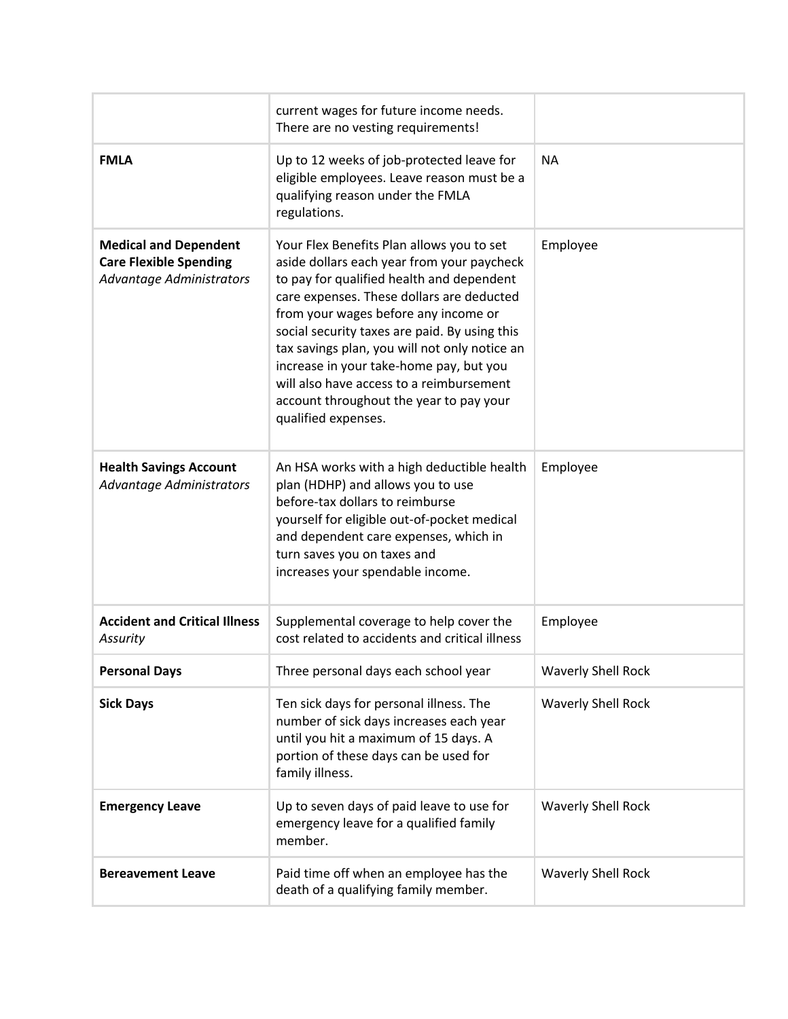|                                                                                           | current wages for future income needs.<br>There are no vesting requirements!                                                                                                                                                                                                                                                                                                                                                                                                         |                           |
|-------------------------------------------------------------------------------------------|--------------------------------------------------------------------------------------------------------------------------------------------------------------------------------------------------------------------------------------------------------------------------------------------------------------------------------------------------------------------------------------------------------------------------------------------------------------------------------------|---------------------------|
| <b>FMLA</b>                                                                               | Up to 12 weeks of job-protected leave for<br>eligible employees. Leave reason must be a<br>qualifying reason under the FMLA<br>regulations.                                                                                                                                                                                                                                                                                                                                          | <b>NA</b>                 |
| <b>Medical and Dependent</b><br><b>Care Flexible Spending</b><br>Advantage Administrators | Your Flex Benefits Plan allows you to set<br>aside dollars each year from your paycheck<br>to pay for qualified health and dependent<br>care expenses. These dollars are deducted<br>from your wages before any income or<br>social security taxes are paid. By using this<br>tax savings plan, you will not only notice an<br>increase in your take-home pay, but you<br>will also have access to a reimbursement<br>account throughout the year to pay your<br>qualified expenses. | Employee                  |
| <b>Health Savings Account</b><br>Advantage Administrators                                 | An HSA works with a high deductible health<br>plan (HDHP) and allows you to use<br>before-tax dollars to reimburse<br>yourself for eligible out-of-pocket medical<br>and dependent care expenses, which in<br>turn saves you on taxes and<br>increases your spendable income.                                                                                                                                                                                                        | Employee                  |
| <b>Accident and Critical Illness</b><br>Assurity                                          | Supplemental coverage to help cover the<br>cost related to accidents and critical illness                                                                                                                                                                                                                                                                                                                                                                                            | Employee                  |
| <b>Personal Days</b>                                                                      | Three personal days each school year                                                                                                                                                                                                                                                                                                                                                                                                                                                 | <b>Waverly Shell Rock</b> |
| <b>Sick Days</b>                                                                          | Ten sick days for personal illness. The<br>number of sick days increases each year<br>until you hit a maximum of 15 days. A<br>portion of these days can be used for<br>family illness.                                                                                                                                                                                                                                                                                              | <b>Waverly Shell Rock</b> |
| <b>Emergency Leave</b>                                                                    | Up to seven days of paid leave to use for<br>emergency leave for a qualified family<br>member.                                                                                                                                                                                                                                                                                                                                                                                       | <b>Waverly Shell Rock</b> |
| <b>Bereavement Leave</b>                                                                  | Paid time off when an employee has the<br>death of a qualifying family member.                                                                                                                                                                                                                                                                                                                                                                                                       | <b>Waverly Shell Rock</b> |